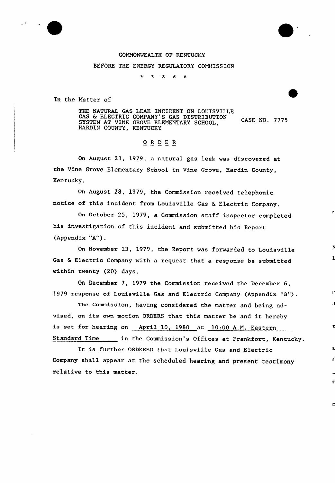#### COMMONWEALTH OF KENTUCKY

#### BEFORE THE ENERGY REGULATORY COMMISSION

 $\star$  $* * *$ 

In the Natter of

THE NATURAL GAS LEAK INCIDENT ON LOUISVILLE GAS & ELECTRIC COMPANY'S GAS DISTRIBUTION CASE NO. 7775 SYSTEM AT VINE GROVE ELEMENTARY SCHOOL, HARDIN COUNTY, KENTUCKY

## ORDER

On August 23, 1979, a natural gas leak was discovered at the Vine Grove Elementary School in Vine Grove, Hardin County, Kentucky.

On August 28, 1979, the Commission received telephonic notice of this incident from Louisville Gas & Electric Company.

On October 25, 1979, a Commission staff inspectox'ompleted his investigation of this incident and submitted his Repoxt (Appendix "A").

On Novembex 13, 1979, the Report was forwarded to Louisville Gas <sup>6</sup> Electric Company with a request that a response be submitted within twenty (20) days.

1

z

On December 7, 1979 the Commission received the Decembex 6, 1979 xesponse of Louisville Gas and Electric Company (Appendix "B").

The Commission, having considered the mattex and being advised, on its own motion ORDERS that this matter be and it hereby is set for hearing on April 10, 1980 at 10:00 A.M. Eastern Standard Time in the Commission's Offices at Frankfort, Kentucky.

It is further ORDERED that Louisville Gas and Electric Company shall appear at the scheduled hearing and present testimony relative to this matter.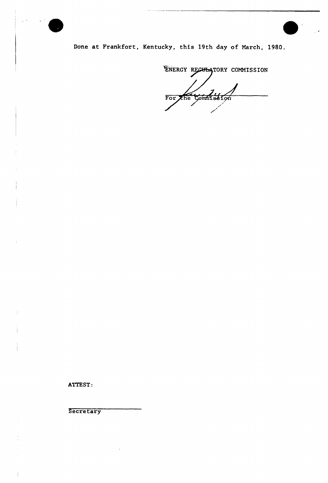

Done at Frankfort, Kentucky, this 19th day of Narch, 1980.

ENERGY RECULATORY COMMISSION For the Commission

ATTEST:

**Secretary**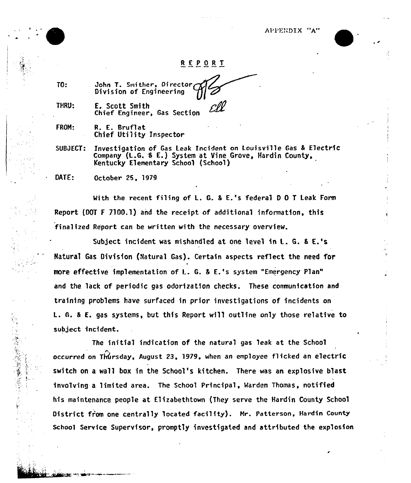APPENDIX "A"

### REPORT

TO:

(一) 大学生的 医中心性 医中心性 医中心性 医心理学

THRU: E. Scott Smith Chief Engineer, Gas Section

John T. Smither, Director Division of Engineering

FROM: R. E. Bruflat Chief Utility Inspector

SUBJECT: Investigation of Gas Leak Incident on Louisville Gas & Electric Company (L.G. & E.) System at Vine Grove, Hardin County, Kentucky Elementary School (School)

DATE: 0ctober 25, 1979

With the recent filing of L. G. & E.'s federal D O T Leak Form Report (DOT <sup>F</sup> 7100.1) and the receipt of additional information, this finalized Report can be written with the necessary overview.

Subject incident was mishandled at one level in L. G. & E.'s Hatural Gas Oivision (Natural Gas). Certain aspects reflect the need for more effective implementation of L. G. <sup>8</sup> E.'s system "Emergency Plan" and the lack of periodic gas odorization checks. These communication and training problems have surfaced in prior investigations of incidents on L. 6. 5 E. gas systems, but this Report will outline only those relative to subject incident.

The initial indication of the natural gas leak at the School occurred on Thursday, August 23, 1979, when an employee flicked an electric switch on a wall box in the School's kitchen. There was an explosive blast involving a limited area. The School Principal, Warden Thomas, notified his maintenance people at Elizabethtown (They serve the Hardin County School District fr'Om one centrally located facility). Nr. Patterson, Hardin County School Service Supervisor, promptly investigated and attributed the explosion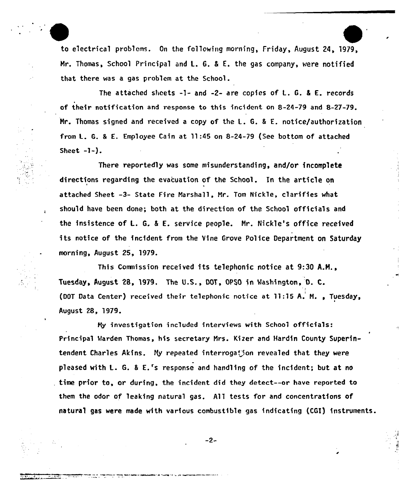Z to electrical problems. On the following morning, Friday, August 24, 1979, Mr. Thomas, School Principal and L. 6. 5 E. the gas company, were notified that there was a gas problem at the School.

The attached sheets -1- and -2- are copies of L. G. <sup>8</sup> E. records of their notification and response to this incident on 8-24-79 and 8-27-79. Mr. Thomas signed and received a copy of the L. G. <sup>8</sup> E. notice/authorization from L. G. <sup>8</sup> E. Employee Cain at ll:45 on 8-24-79 (See bottom of attached Sheet  $-1-$ ).

There reportedly was some misunderstanding, and/or incomplete directions regarding the evacuation of the School. In the article on attached Sheet -3- State Fire Narshall, Nr. Tom Nick1e, clarifies what should have been done; both at the direction of the School officials and the insistence of L. G. <sup>8</sup> E. service people. Nr. Nickle's office received its notice of the incident from the Vine Grove Police Department on Saturday morning, August 25, 1979.

This Commission received its telephonic notice at 9:30 A.M., Tuesday, August 28, 1979. The U.S., DOT, OPSO in Washington. D. C. (DOT Data Center) received their telephonic notice at 11:15 A. M., Tuesday, August 28, 1979.

Ny investigation included interviews with School officials: Principal Marden Thomas, his secretary Nrs. Kizer and Hardin County Superintendent Charles Akins. My repeated interrogation revealed that they were pleased with L. G. <sup>8</sup> E.'s response and handling of the incident; but at no time prior to, or during, the incident did they detect--or have reported to them the odor of leaking natural gas. All tests for and concentrations of natural gas were made with various combustible gas indicating (CGI) instruments.

 $-2-$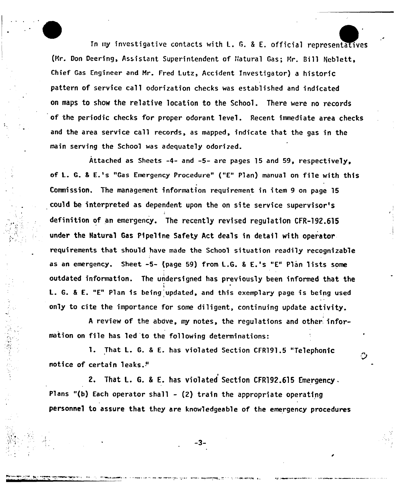In my investigative contacts with L. G. & E. official representatives (Mr. Don Deering, Assistant Superintendent of Natural Gas: Mr. Bill Neblett, Chief Gas Engineer and Mr. Fred Lutz, Accident Investigator) a historiC pattern of service call odorization checks was established and indicated on maps to show the relative location to the School. There were no records of the periodic checks for proper odorant level. Recent immediate area checks and the area service call records, as mapped, indicate that the gas in the main serving the School was adequately odorized.

E

L

r

Attached as Sheets -4- and -5- are pages 15 and 59, respectively, oF L. G. <sup>8</sup> E.'s "Gas Emergency Procedure" ("E" Plan) manual on file with this Commission. The management information requirement in item 9 on page 15 could be interpreted as dependent upon the on site service supervisor's definition of an emergency. The recently revised regulation CFR-192.615 under the Natural Gas Pipeline Safety Act deals in detail with operator requirements that should have made the School situation readily recognizable as an emergency. Sheet -5- (page 59) from L.G. & E.'s "E" Plan lists some outdated information. The undersigned has previously been informed that the 1 L. G. & E. "E" Plan is being updated, and this exemplary page is being used only to cite the importance for some diligent, continuing update activity.

<sup>A</sup> review of the above, my notes, the regulations and other. information on file has led 'to the following determinations:

1. That L. G. & E. has violated Section CFR191.5 "Telephonic notice of certain leaks."

2. That L. G. & E. has violated Section CFR192.615 Emergency. Plans "(b) Each operator shall — (2) train the appropriate operating personnel to assure that they are knowledgeable of the emergency procedures

-3-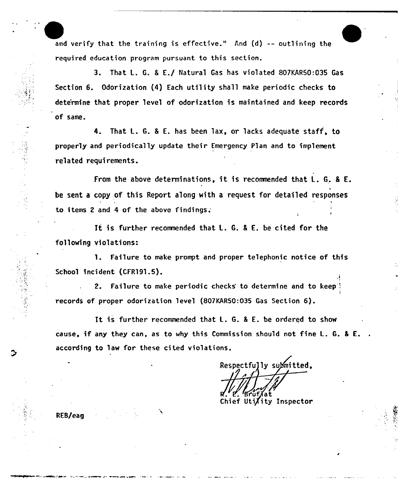and verify that the training is effective." And  $(d)$  -- outlining the required education program pursuant to this section.

3. That L. G. <sup>8</sup> E./ Natural Gas has violated 807KAR50:O35 Gas Section 6. Odorization (4) Each utility shall make periodic checks to dete'rmine that proper level of odorization is maintained and keep records of same.

4. That L. G. <sup>8</sup> E. has been lax, or lacks adequate staff, to properly and periodically update their Emergency Plan and to implement related requirements.

From the above determinations, it is recommended that L. G. <sup>8</sup> E. be sent a copy of this Report along with a request for detailed responses to items 2 and 4 of the above findings;

It is further recomnended that L. G. <sup>8</sup> E. be cited for the following violations:

1. Failure to make prompt and proper telephonic notice of this School incident (CFR191.5).

2. Failure to make periodic checks to determine and to keep ': I records of proper odorization level {807KAR50:035 Gas Section 6).

It is further recommended that L. G. <sup>8</sup> E. be ordered to show cause, if any they can, as to why this Commission should not fine L. G. <sup>8</sup> E. according to law for these ci ted violations.

Respectfully submitted. Chief Uti/ity Inspector

L

RES/eag

E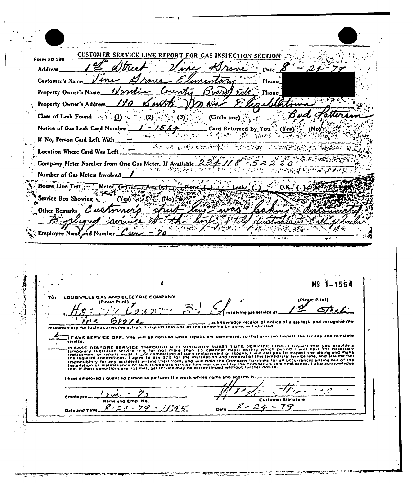CUSTOMER SERVICE LINE REPORT FOR GAS INSTECTION SECTION **Form SD 398** Address  $D<sub>2</sub>$ ım Phone. Customer's Name Property Owner's Name •Lt Mone Property Owner's Address  $<sup>(3)</sup>$ </sup> Class of Leak Found  $\cdots$  (1) .  $(2)$ (Circle one) 5 Notice of Gas Leak Card Number Card Returned by You  $(Y_{t})$  $(No)$  $\ddot{\phantom{a}}$  $\mathcal{L}^{\text{max}}$  and  $\mathcal{L}^{\text{max}}$ ေစခါကိုပါများ ေျပာင္းခ်ိန္နဲ႔ေ*စ*ခု ဦးျ 5. If No, Person Card Left With ተችናተ የአማ) <sub>ፍ</sub> (አ**ተ**ያአንይቷት) <del>የ</del>ማውረት የ (STEER BOLD PROPERTY PARKER) Location Where Card Was Left.  $\overline{z^{i}}$  $U_{\rm D}(\sum_i E_i)$ v  $\overline{\mathcal{Z}}$ 5 Company Meter Number from One Gas Meter, If Available. Ω  $\overline{\mathcal{F}}(\overline{\mathbf{y}}_t) \approx \mathcal{F}(\overline{\mathbf{y}}_t) \mathcal{G}(\mathbf{y}, \overline{\mathbf{y}}_t)$  $\mathcal{P}_{\mathcal{A}}$  $\mathcal{P}^{\text{max}}$  $\mathcal{L}$  $\mathcal{L}_{\text{max}}$  and  $\mathcal{L}_{\text{max}}$  $\mathcal{L}$ 网络地质霉素医地质霉素植物鼠 Number of Gas Meters Involved  $\mathbb{R}^n$  , i Meter<sup>7</sup>C House Line Test e Aire (پ  $O.K$ . raka ιοn أتعاجي Service Box Showing Other Remarks تتاميم  $\sim$  7.7.  $\mathcal{C} \in \mathcal{C}$ Employee Name and Number lsa ी<br>अ Nº 1-1564 LOUISVILLE GAS AND ELECTRIC COMPANY (Please Print) (Please Print) Y  $\mathcal{L}^{\mathfrak{C}}$ 72 J. Grore , ine acknowledge receipt of notice of a gas leak and recognize my responsibility for taking corrective action, I request that one of the following be done, as indicated: .<br>LEAVE SERVICE OFF, You will be notified when repairs are completed, so that you can inspect the facility and reinstate<br>service. FIGURE RESTORE SERVICE THROUGH A TEMPORARY SUBSTITUTE SERVICE LINE, I request that you provide a<br>Lemporary substitute service firm for not more than 15 calendar days; during which period I will have the necessary<br>replaceme I have employed a qualitied person to parform the work whose name and address is  $\sqrt{2}$  $1, m$ ク  $\sim$ Employee Customer Signature Name and Emp. No.  $24$  $8 - 2 + -79 - 1195$ P --79 Date Date and Time

77.25

1047

الأولى المحافظة المناسبة المناسبة المناسبة المناسبة المناسبة المناسبة المناسبة المناسبة المناسبة المناسبة المن<br>المناسبة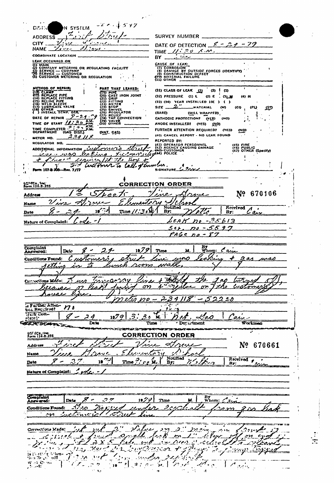$220 - 537$ N SYSTEM DISTIN ADDRESS  $\overrightarrow{V}$ سمنديم  $\overline{\wedge}$ rx SURVEY NUMBER \_  $\mathcal{L}$ DATE OF DETECTION  $\mathscr{L} - \mathscr{L}$   $\gamma$  - 79  $z_{\ell}$ t.l. : <u>2:24</u> NAME. TIME  $N: \exists o \land m$ . **COORDINATE LOCATION** سەمئىز BY. LEAK OCCURRED ON CAUSE OF LEAK:<br>
(7) CORROSION<br>
(8) DAMAGE BY OUTSIDE FORCES (IDENTIFY)<br>
(9) CONSTRUCTION DEFECT<br>
(12) MATERIAL FAILURE **EARLY WANTED WELL AND SECULATING FACILITY**<br>
(2) COMPANY METERING OR REGULATING FACILITY<br>
(3) SERVICE — CUSPANER<br>
(5) CUSTOMER METERING OR REGULATION METHOD OF REPAIR PART THAT LEAKED: (31) CLASS OF LEAR  $\begin{bmatrix} 0 \\ 1 \end{bmatrix}$  (2)  $\begin{bmatrix} 0 \\ 1 \end{bmatrix}$ **PART THAT LEAKED:**<br>
(30) CAST JRON JOINT<br>
(30) CAST JRON JOINT<br>
(32) MILTER<br>
(33) MILTER<br>
(33) SWIFER<br>
(35) SWIFER<br>
(37) TALLER<br>
(39) TALLER<br>
(39) OTHER  $\mathbf{I}$ (32) PRESSURE (1) L (2) E ் ஒடங  $\langle 4 \rangle$   $H$ (W)  $(CI)$ **IPLY**  $5D$  $\bar{\Omega}$  $(BARE)$ (MILL WRAPPED) () INSTALL TEMP. SER.<br>
DATE OF REPAIR  $2-2.9$ . THE TIME OF START  $M$ : 30 AM.<br>
TIME COMPLETED 3232 AM.<br>
DEPARTMENT (GAS DIST.) ì  $\mathbb{R}^2$ CATHODIC PROTECTION? (YES) **CNOS** ANODE INSTALLEDI (YES) (NO) FURTHER ATTENTION REQUIRED? (YES) (NO) (NAT. GAS) (40) CANCEL REPORT - NO LEAK FOUND METER NO. \_ REPORTED BY: ADDITIONAL INFORMATION CUOLOGYS CONTROL (42) AGENCY CAUSING DAMAGE (45) FIRE<br>(46) PUBLIC<br>(47) OTHER (Specify) and concertation hope to Ţ  $+$  final 7  $7 - 7$ ASIA, 1.  $\ddot{\phantom{1}}$ CNECo., Inc.<br>orm 134-8-955 **CORRECTION ORDER**  $\mathcal{L}$ イー Nº 670106 Address  $\boldsymbol{\mu}$ ee <u>Vive</u> SI, rementin بمعمد Name Received Asi Notified<br>By: أدبيهو  $T_{\text{line}}$  //:30 etts  $\ddot{\phantom{1}}$  $\overline{a_{1}}$ Date By:  $6RAKR - 35613$ Code Nature of Complaint:  $54.00 - 5597$  $PAGE$   $po$   $-57$ By<br>Whom: Cain Complaint<br>Answered:  $1979$ з - $2r$ Time 24. Date Jegkin Customers ◢ Conditions Found: phre  $2$ as uass wali som retime 762  $75022222$ Hs. 1 o.C xtions Mere  $\omega$ Voc K  $\sigma$ <u>or J the</u>  $\omega\sigma$ 'n Ve تفخ  $239/18-5$  $2220$ <u>I22</u> e Further Atten-178 Here Cour-Carry  $\lambda$  $1979$  $\varphi$  -<u>of.</u>  $\overline{3}$ . ج ج  $\mathcal{A}$ oo 2 A к. **CHARGEMENT** Date Workman  $Tlima$ Der artment מריות טוערכ LCZ ECe., Inc.<br>Form 134-8-355 **CORRECTION ORDER**  $\boldsymbol{\varphi}$ ron Nº 670661  $\mathbb{R}^n$ Address Λ. ج ٦ Λ , j.a. Name ĸ۴ Received  $f_{\lambda}$ Nouned<br>By: 18 175 Time?' er u.  $\boldsymbol{\tau}$  $\overline{\mathcal{L}}$ Date  $By$ Nature of Complaint: 1 ode. Complaint By<br>Whom: Lais  $10/9$ Time M. Data  $\overline{\mathcal{M}_{20}}$ 2 c 1 c Conditions Found: Deport <u>an</u> tsve  $\sim$ Exclimated 1 strut  $\sim$  $^{\prime\prime}$ Lebec Corrections Rade:  $2\degree$  $\boldsymbol{\beta}^{(1)}_{\mu\nu}$ ے مدو بهوو يرانيل as creed of fine eck on  $\epsilon_1$ Braine  $2x3$ بمعين فكمهيئ neers o -cadiret المهوي  $\overline{2^{n}2.2}$ برتيتهم  $\overline{\mathbf{v}}$ na, veir 963s) بعواني  $\mathbf{r}$ Kaliforija. is that for a deter- $\boldsymbol{\mathscr{C}}$  $\sim$  $2\mathcal{L}$ miles  $\mathbf{1} \cdot \mathbf{1}$  $\mathcal{J}'$  $2\Delta$ i, 1 31 5 1 1 1 1 1  $\begin{array}{c} W \to 1 \ \text{C}^2 \ \text{m}^2 \\ \text{11.} \ \text{cm}^2 \end{array}$  $10.5$  $\hat{\mathcal{A}}$ الأوقوان ់ រទ

 $\pi$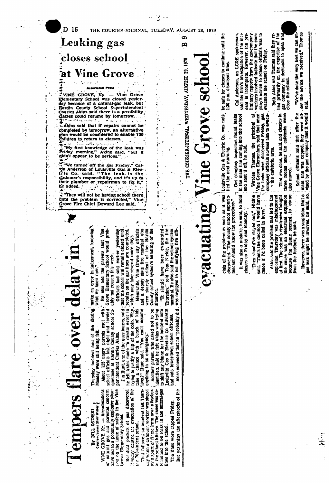

By BILL OSINSKI

have led to a potentially explosive situa-<br>tion on the issue of safety in the Vine VINE GROVE, Ky. - Accumulations natural gas and  $\overline{\epsilon}$ 

Residual pockets of gas discovered Minday caused the evacuation of the Grove Elementary School. the 700-student school.

by a spurt of flame from near a hisebox<br>in the school kitchen. The cause was de-That followed an incident last Thurscay when a cafeteria worker was slaged

termined to be leaks in the matural-gas The lines were capped Friday. lines into the school.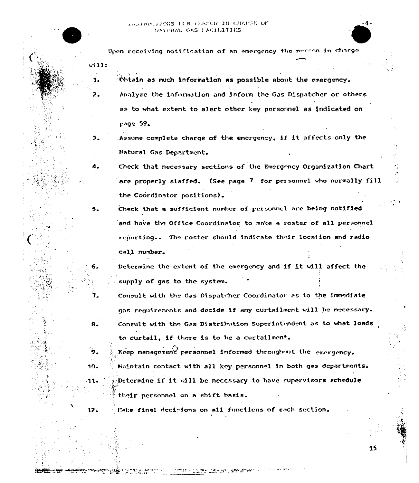$\sim$ ill:

1.

 $a<sub>z</sub>$ 

 $\bullet$ 

Upon receiving notification of an emergency the purson in charge

:Obtain as much information as possible about the emergency. 7 Analyze the information and inform the Gas Dispatcher or others as to what extent to alert other key personnel as indicated on page

<sup>3</sup> Assume complete charge of the emergency, if it af fccts only the Natural Gas Department

4. Check that necessary sections of the Emergency Organization Chart are properly staffed. (See page 7 for personnel who normally fill the Coordinator positions)

5. check that a sufficient number of personnel are being notified and have the Office Coordinator to make a roster of all personnel reporting.. The roster should indicate their location and radio call number

6. Determine the extent of the emergency and if it vill affect the supply of gas to the system.

Consult with the Gas Dispatcher Coordinator as to the immediate gas requirenents and decide if any curtailment will be necessary. Consult with the Gas Distribution Superintendent as to what loads to curtail, if there is to be <sup>a</sup> curtailment.

Keep management personnel informed throughout the emergency. 10.  $\frac{1}{2}$  Haintain contact with all key personnel in both gas departments. '1'1- ':Do.tcrmine if it will be necessary to have supervisors schedule their personnel on a shift basis.

12. lake final decisions on all functions of each section.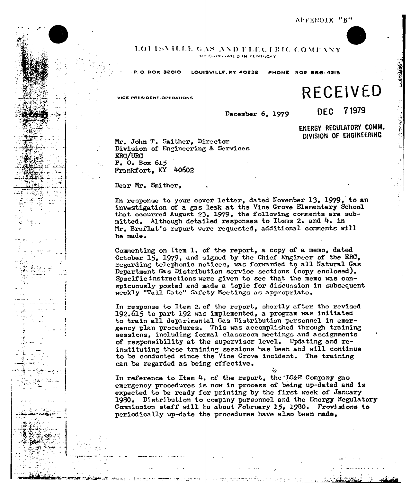#### LOUISVILLE GAS AND ELECTRIC COMPANY IIII/ CGPGRATED IN REMINGER

P.O. BOX 32010 LOUISVII.LE, KY. 40232 PHONE 502 866-4215

# $V = F$

December 6, 1979 DEC 71979

ENERGY REGULATORY COMhl. DIVISION OF ENGINEERING

Mr. John T. Smither, Director Division of Engineering & Services ERC/URC P, 0, Box 615 Frankfort, KY 40602

Dear Hr. Smither,

In response to your cover letter, dated November 13, 1979, to an investigation of a gas leak at, the Vine Grove Elementary School investigation of a gas leak at the vine Grove Elementary School that occurred August 23, 1979, the following comments are submitted. Although detailed responses to Items 2. and 4. in Mr. Bruflat's report were requested, additional comments will be made.

Commenting on Item 1. of the report, <sup>a</sup> copy of <sup>a</sup> memo, dated October 15, 1979, and signed by the Chief Engineer of the ERC. regarding telephonic notices, was forwarded to all Natural Gas Department Cas Distribution service sections (copy enclosed). Specific instructions were given to see that the memo was conspicuously posted and made a topic for discussion in subsequent weekly "Tail Gate" Safety Meetings as appropriate

In response to Item 2. of the report, shortly after the revised  $192.615$  to part 192 was implemented, a program was initiated to train all departmental Gas Distribution personnel in emergency plan procedures. This was accomplished through training sessions, including formal classroom meetings and assignments of responsibility at the supervisor level. Updating and reinstituting these training sessions has been and will continue to be conducted since the Vine Grove incident. The training can be regarded as being effective.

In reference to Item  $4.$  of the report, the IG&E Company gas emergency procedures is now in process of being up-dated and is expected to be ready for printing by the first week of January 1980. Distribution to company personnel and the Energy Regulator<br>Commission staff will be about Pobruary 15, 1990. Provisions to periodically up-date the procedures have also been made,